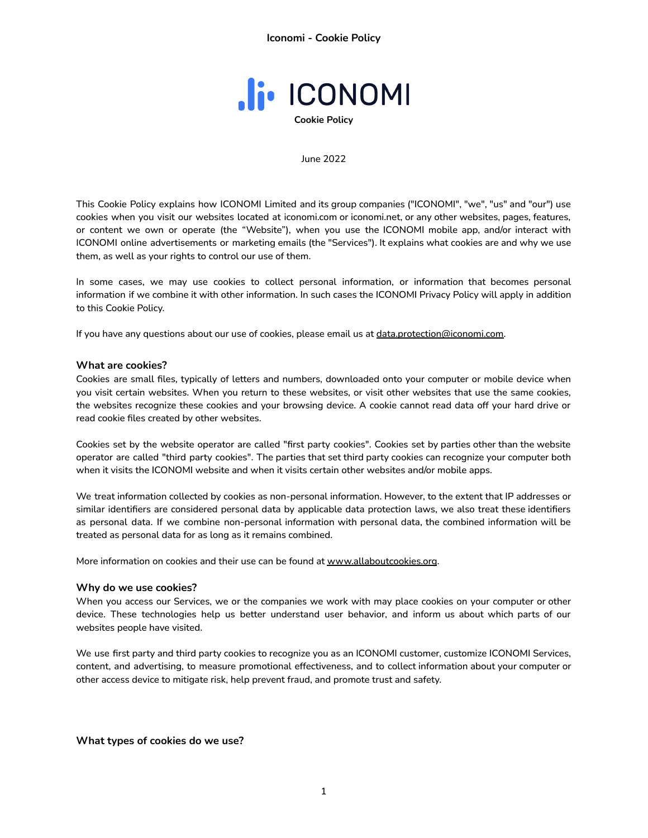

#### June 2022

This Cookie Policy explains how ICONOMI Limited and its group companies ("ICONOMI", "we", "us" and "our") use cookies when you visit our websites located at iconomi.com or iconomi.net, or any other websites, pages, features, or content we own or operate (the "Website"), when you use the ICONOMI mobile app, and/or interact with ICONOMI online advertisements or marketing emails (the "Services"). It explains what cookies are and why we use them, as well as your rights to control our use of them.

In some cases, we may use cookies to collect personal information, or information that becomes personal information if we combine it with other information. In such cases the ICONOMI Privacy Policy will apply in addition to this Cookie Policy.

If you have any questions about our use of cookies, please email us at [data.protection@iconomi.com](mailto:data.protection@iconomi.com).

### **What are cookies?**

Cookies are small files, typically of letters and numbers, downloaded onto your computer or mobile device when you visit certain websites. When you return to these websites, or visit other websites that use the same cookies, the websites recognize these cookies and your browsing device. A cookie cannot read data off your hard drive or read cookie files created by other websites.

Cookies set by the website operator are called "first party cookies". Cookies set by parties other than the website operator are called "third party cookies". The parties that set third party cookies can recognize your computer both when it visits the ICONOMI website and when it visits certain other websites and/or mobile apps.

We treat information collected by cookies as non-personal information. However, to the extent that IP addresses or similar identifiers are considered personal data by applicable data protection laws, we also treat these identifiers as personal data. If we combine non-personal information with personal data, the combined information will be treated as personal data for as long as it remains combined.

More information on cookies and their use can be found at [www.allaboutcookies.org](http://www.allaboutcookies.org).

### **Why do we use cookies?**

When you access our Services, we or the companies we work with may place cookies on your computer or other device. These technologies help us better understand user behavior, and inform us about which parts of our websites people have visited.

We use first party and third party cookies to recognize you as an ICONOMI customer, customize ICONOMI Services, content, and advertising, to measure promotional effectiveness, and to collect information about your computer or other access device to mitigate risk, help prevent fraud, and promote trust and safety.

**What types of cookies do we use?**